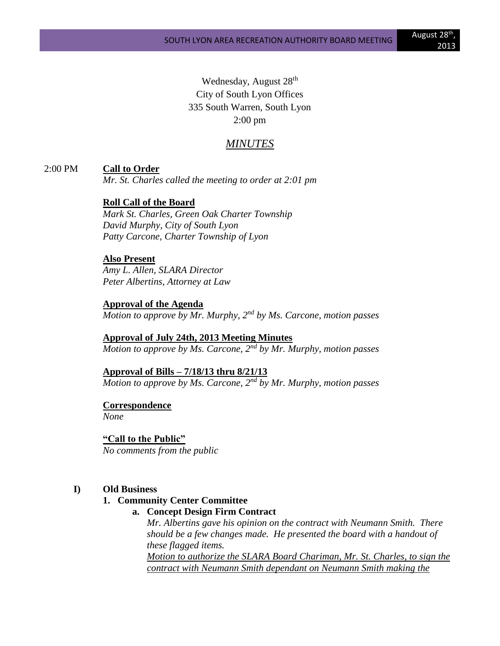Wednesday, August 28<sup>th</sup> City of South Lyon Offices 335 South Warren, South Lyon 2:00 pm

# *MINUTES*

2:00 PM **Call to Order**

*Mr. St. Charles called the meeting to order at 2:01 pm*

### **Roll Call of the Board**

*Mark St. Charles, Green Oak Charter Township David Murphy, City of South Lyon Patty Carcone, Charter Township of Lyon* 

#### **Also Present**

*Amy L. Allen, SLARA Director Peter Albertins, Attorney at Law*

#### **Approval of the Agenda**

*Motion to approve by Mr. Murphy, 2nd by Ms. Carcone, motion passes*

**Approval of July 24th, 2013 Meeting Minutes** *Motion to approve by Ms. Carcone, 2nd by Mr. Murphy, motion passes*

### **Approval of Bills – 7/18/13 thru 8/21/13**

*Motion to approve by Ms. Carcone, 2nd by Mr. Murphy, motion passes*

**Correspondence** *None*

**"Call to the Public"** *No comments from the public*

### **I) Old Business**

### **1. Community Center Committee**

**a. Concept Design Firm Contract**

*Mr. Albertins gave his opinion on the contract with Neumann Smith. There should be a few changes made. He presented the board with a handout of these flagged items.* 

*Motion to authorize the SLARA Board Chariman, Mr. St. Charles, to sign the contract with Neumann Smith dependant on Neumann Smith making the*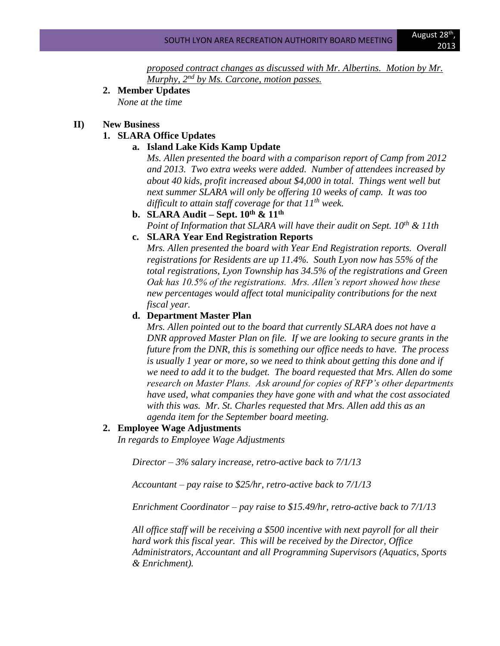*proposed contract changes as discussed with Mr. Albertins. Motion by Mr. Murphy, 2nd by Ms. Carcone, motion passes.*

**2. Member Updates** *None at the time*

### **II) New Business**

# **1. SLARA Office Updates**

#### **a. Island Lake Kids Kamp Update**

*Ms. Allen presented the board with a comparison report of Camp from 2012 and 2013. Two extra weeks were added. Number of attendees increased by about 40 kids, profit increased about \$4,000 in total. Things went well but next summer SLARA will only be offering 10 weeks of camp. It was too difficult to attain staff coverage for that 11th week.*

**b. SLARA Audit – Sept. 10th & 11th** *Point of Information that SLARA will have their audit on Sept. 10th & 11th*

# **c. SLARA Year End Registration Reports**

*Mrs. Allen presented the board with Year End Registration reports. Overall registrations for Residents are up 11.4%. South Lyon now has 55% of the total registrations, Lyon Township has 34.5% of the registrations and Green Oak has 10.5% of the registrations. Mrs. Allen's report showed how these new percentages would affect total municipality contributions for the next fiscal year.*

## **d. Department Master Plan**

*Mrs. Allen pointed out to the board that currently SLARA does not have a DNR approved Master Plan on file. If we are looking to secure grants in the future from the DNR, this is something our office needs to have. The process is usually 1 year or more, so we need to think about getting this done and if we need to add it to the budget. The board requested that Mrs. Allen do some research on Master Plans. Ask around for copies of RFP's other departments have used, what companies they have gone with and what the cost associated with this was. Mr. St. Charles requested that Mrs. Allen add this as an agenda item for the September board meeting.*

#### **2. Employee Wage Adjustments**

*In regards to Employee Wage Adjustments*

*Director – 3% salary increase, retro-active back to 7/1/13*

*Accountant – pay raise to \$25/hr, retro-active back to 7/1/13*

*Enrichment Coordinator – pay raise to \$15.49/hr, retro-active back to 7/1/13*

*All office staff will be receiving a \$500 incentive with next payroll for all their hard work this fiscal year. This will be received by the Director, Office Administrators, Accountant and all Programming Supervisors (Aquatics, Sports & Enrichment).*